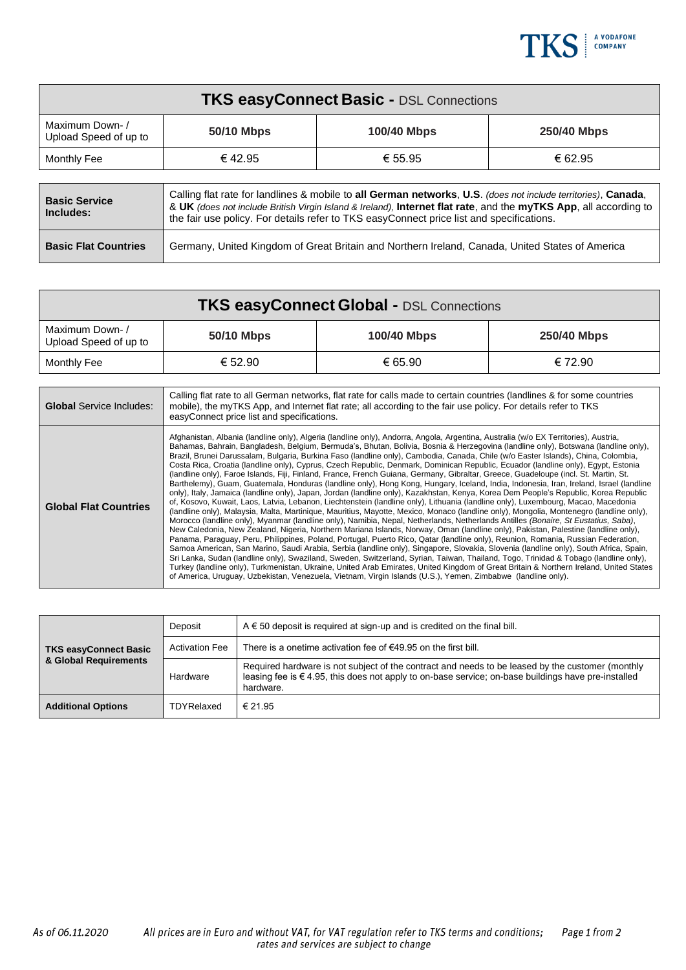

| <b>TKS easyConnect Basic - DSL Connections</b> |                                                                                                                                                                                                                                                                                                                               |             |             |  |  |
|------------------------------------------------|-------------------------------------------------------------------------------------------------------------------------------------------------------------------------------------------------------------------------------------------------------------------------------------------------------------------------------|-------------|-------------|--|--|
| Maximum Down-/<br>Upload Speed of up to        | 50/10 Mbps                                                                                                                                                                                                                                                                                                                    | 100/40 Mbps | 250/40 Mbps |  |  |
| Monthly Fee                                    | € 42.95                                                                                                                                                                                                                                                                                                                       | € 55.95     | € 62.95     |  |  |
|                                                |                                                                                                                                                                                                                                                                                                                               |             |             |  |  |
| <b>Basic Service</b><br>Includes:              | Calling flat rate for landlines & mobile to all German networks, U.S. (does not include territories), Canada,<br>& UK (does not include British Virgin Island & Ireland), Internet flat rate, and the myTKS App, all according to<br>the fair use policy. For details refer to TKS easyConnect price list and specifications. |             |             |  |  |
| <b>Basic Flat Countries</b>                    | Germany, United Kingdom of Great Britain and Northern Ireland, Canada, United States of America                                                                                                                                                                                                                               |             |             |  |  |

| <b>TKS easyConnect Global - DSL Connections</b> |            |                    |             |  |  |
|-------------------------------------------------|------------|--------------------|-------------|--|--|
| Maximum Down-/<br>Upload Speed of up to         | 50/10 Mbps | <b>100/40 Mbps</b> | 250/40 Mbps |  |  |
| Monthly Fee                                     | € 52.90    | € 65.90            | € 72.90     |  |  |

| <b>Global</b> Service Includes: | Calling flat rate to all German networks, flat rate for calls made to certain countries (landlines & for some countries<br>mobile), the myTKS App, and Internet flat rate; all according to the fair use policy. For details refer to TKS<br>easyConnect price list and specifications.                                                                                                                                                                                                                                                                                                                                                                                                                                                                                                                                                                                                                                                                                                                                                                                                                                                                                                                                                                                                                                                                                                                                                                                                                                                                                                                                                                                                                                                                                                                                                                                                                                                                                                                                                                                                                                                                                                                                |
|---------------------------------|------------------------------------------------------------------------------------------------------------------------------------------------------------------------------------------------------------------------------------------------------------------------------------------------------------------------------------------------------------------------------------------------------------------------------------------------------------------------------------------------------------------------------------------------------------------------------------------------------------------------------------------------------------------------------------------------------------------------------------------------------------------------------------------------------------------------------------------------------------------------------------------------------------------------------------------------------------------------------------------------------------------------------------------------------------------------------------------------------------------------------------------------------------------------------------------------------------------------------------------------------------------------------------------------------------------------------------------------------------------------------------------------------------------------------------------------------------------------------------------------------------------------------------------------------------------------------------------------------------------------------------------------------------------------------------------------------------------------------------------------------------------------------------------------------------------------------------------------------------------------------------------------------------------------------------------------------------------------------------------------------------------------------------------------------------------------------------------------------------------------------------------------------------------------------------------------------------------------|
| <b>Global Flat Countries</b>    | Afghanistan, Albania (landline only), Algeria (landline only), Andorra, Angola, Argentina, Australia (w/o EX Territories), Austria,<br>Bahamas, Bahrain, Bangladesh, Belgium, Bermuda's, Bhutan, Bolivia, Bosnia & Herzegovina (landline only), Botswana (landline only),<br>Brazil, Brunei Darussalam, Bulgaria, Burkina Faso (landline only), Cambodia, Canada, Chile (w/o Easter Islands), China, Colombia,<br>Costa Rica, Croatia (landline only), Cyprus, Czech Republic, Denmark, Dominican Republic, Ecuador (landline only), Egypt, Estonia<br>(landline only), Faroe Islands, Fiji, Finland, France, French Guiana, Germany, Gibraltar, Greece, Guadeloupe (incl. St. Martin, St.<br>Barthelemy), Guam, Guatemala, Honduras (landline only), Hong Kong, Hungary, Iceland, India, Indonesia, Iran, Ireland, Israel (landline<br>only), Italy, Jamaica (landline only), Japan, Jordan (landline only), Kazakhstan, Kenya, Korea Dem People's Republic, Korea Republic<br>of, Kosovo, Kuwait, Laos, Latvia, Lebanon, Liechtenstein (landline only), Lithuania (landline only), Luxembourg, Macao, Macedonia<br>(landline only), Malaysia, Malta, Martinique, Mauritius, Mayotte, Mexico, Monaco (landline only), Mongolia, Montenegro (landline only),<br>Morocco (landline only), Myanmar (landline only), Namibia, Nepal, Netherlands, Netherlands Antilles (Bonaire, St Eustatius, Saba),<br>New Caledonia, New Zealand, Nigeria, Northern Mariana Islands, Norway, Oman (landline only), Pakistan, Palestine (landline only),<br>Panama, Paraguay, Peru, Philippines, Poland, Portugal, Puerto Rico, Qatar (landline only), Reunion, Romania, Russian Federation,<br>Samoa American, San Marino, Saudi Arabia, Serbia (landline only), Singapore, Slovakia, Slovenia (landline only), South Africa, Spain,<br>Sri Lanka, Sudan (landline only), Swaziland, Sweden, Switzerland, Syrian, Taiwan, Thailand, Togo, Trinidad & Tobago (landline only),<br>Turkey (landline only), Turkmenistan, Ukraine, United Arab Emirates, United Kingdom of Great Britain & Northern Ireland, United States<br>of America, Uruguay, Uzbekistan, Venezuela, Vietnam, Virgin Islands (U.S.), Yemen, Zimbabwe (landline only). |

| <b>TKS easyConnect Basic</b> | Deposit               | $A \in 50$ deposit is required at sign-up and is credited on the final bill.                                                                                                                                             |  |
|------------------------------|-----------------------|--------------------------------------------------------------------------------------------------------------------------------------------------------------------------------------------------------------------------|--|
|                              | <b>Activation Fee</b> | There is a onetime activation fee of $€49.95$ on the first bill.                                                                                                                                                         |  |
| & Global Requirements        | Hardware              | Required hardware is not subject of the contract and needs to be leased by the customer (monthly<br>leasing fee is $\in$ 4.95, this does not apply to on-base service; on-base buildings have pre-installed<br>hardware. |  |
| <b>Additional Options</b>    | TDYRelaxed            | € 21.95                                                                                                                                                                                                                  |  |